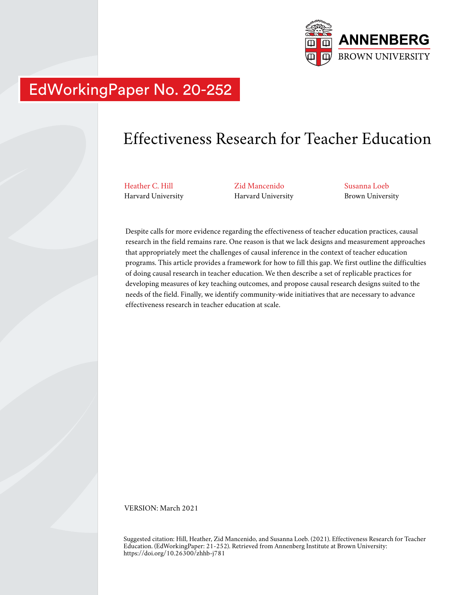

# EdWorkingPaper No. 20-252

# Effectiveness Research for Teacher Education

Heather C. Hill Harvard University Zid Mancenido Harvard University Susanna Loeb Brown University

Despite calls for more evidence regarding the effectiveness of teacher education practices, causal research in the field remains rare. One reason is that we lack designs and measurement approaches that appropriately meet the challenges of causal inference in the context of teacher education programs. This article provides a framework for how to fill this gap. We first outline the difficulties of doing causal research in teacher education. We then describe a set of replicable practices for developing measures of key teaching outcomes, and propose causal research designs suited to the needs of the field. Finally, we identify community-wide initiatives that are necessary to advance effectiveness research in teacher education at scale.

VERSION: March 2021

Suggested citation: Hill, Heather, Zid Mancenido, and Susanna Loeb. (2021). Effectiveness Research for Teacher Education. (EdWorkingPaper: 21-252). Retrieved from Annenberg Institute at Brown University: https://doi.org/10.26300/zhhb-j781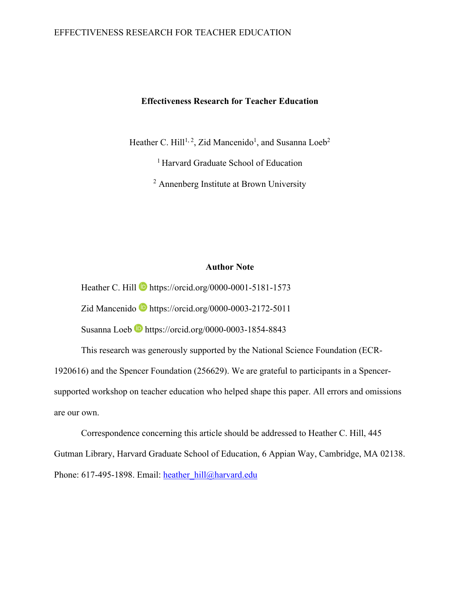# EFFECTIVENESS RESEARCH FOR TEACHER EDUCATION

# **Effectiveness Research for Teacher Education**

Heather C. Hill<sup>1, 2</sup>, Zid Mancenido<sup>1</sup>, and Susanna Loeb<sup>2</sup>

<sup>1</sup> Harvard Graduate School of Education

<sup>2</sup> Annenberg Institute at Brown University

#### **Author Note**

Heather C. Hill  $\blacksquare$  https://orcid.org/0000-0001-5181-1573

Zid Mancenido **b** https://orcid.org/0000-0003-2172-5011

Susanna Loeb **b** https://orcid.org/0000-0003-1854-8843

This research was generously supported by the National Science Foundation (ECR-

1920616) and the Spencer Foundation (256629). We are grateful to participants in a Spencer-

supported workshop on teacher education who helped shape this paper. All errors and omissions are our own.

Correspondence concerning this article should be addressed to Heather C. Hill, 445 Gutman Library, Harvard Graduate School of Education, 6 Appian Way, Cambridge, MA 02138. Phone: 617-495-1898. Email: heather\_hill@harvard.edu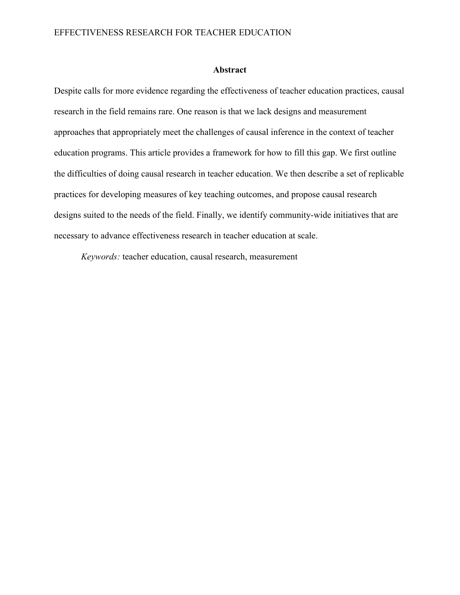# **Abstract**

Despite calls for more evidence regarding the effectiveness of teacher education practices, causal research in the field remains rare. One reason is that we lack designs and measurement approaches that appropriately meet the challenges of causal inference in the context of teacher education programs. This article provides a framework for how to fill this gap. We first outline the difficulties of doing causal research in teacher education. We then describe a set of replicable practices for developing measures of key teaching outcomes, and propose causal research designs suited to the needs of the field. Finally, we identify community-wide initiatives that are necessary to advance effectiveness research in teacher education at scale.

*Keywords:* teacher education, causal research, measurement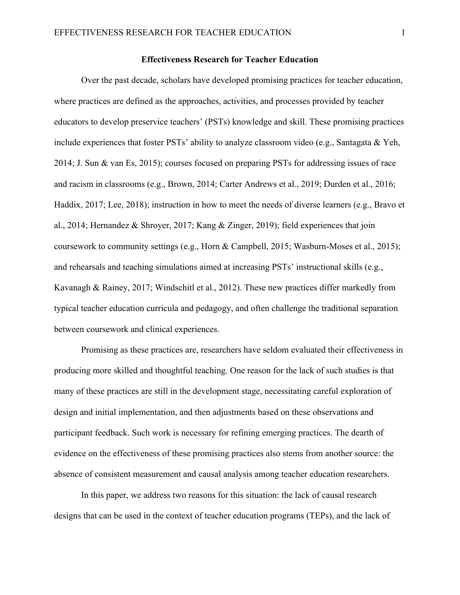## **Effectiveness Research for Teacher Education**

Over the past decade, scholars have developed promising practices for teacher education, where practices are defined as the approaches, activities, and processes provided by teacher educators to develop preservice teachers' (PSTs) knowledge and skill. These promising practices include experiences that foster PSTs' ability to analyze classroom video (e.g., Santagata & Yeh, 2014; J. Sun & van Es, 2015); courses focused on preparing PSTs for addressing issues of race and racism in classrooms (e.g., Brown, 2014; Carter Andrews et al., 2019; Durden et al., 2016; Haddix, 2017; Lee, 2018); instruction in how to meet the needs of diverse learners (e.g., Bravo et al., 2014; Hernandez & Shroyer, 2017; Kang & Zinger, 2019); field experiences that join coursework to community settings (e.g., Horn & Campbell, 2015; Wasburn-Moses et al., 2015); and rehearsals and teaching simulations aimed at increasing PSTs' instructional skills (e.g., Kavanagh & Rainey, 2017; Windschitl et al., 2012). These new practices differ markedly from typical teacher education curricula and pedagogy, and often challenge the traditional separation between coursework and clinical experiences.

 Promising as these practices are, researchers have seldom evaluated their effectiveness in producing more skilled and thoughtful teaching. One reason for the lack of such studies is that many of these practices are still in the development stage, necessitating careful exploration of design and initial implementation, and then adjustments based on these observations and participant feedback. Such work is necessary for refining emerging practices. The dearth of evidence on the effectiveness of these promising practices also stems from another source: the absence of consistent measurement and causal analysis among teacher education researchers.

In this paper, we address two reasons for this situation: the lack of causal research designs that can be used in the context of teacher education programs (TEPs), and the lack of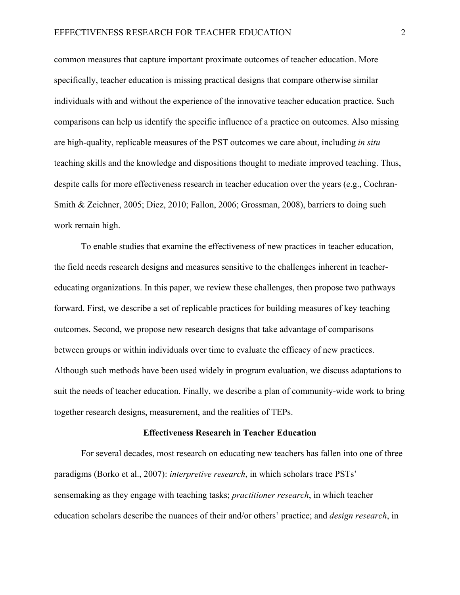common measures that capture important proximate outcomes of teacher education. More specifically, teacher education is missing practical designs that compare otherwise similar individuals with and without the experience of the innovative teacher education practice. Such comparisons can help us identify the specific influence of a practice on outcomes. Also missing are high-quality, replicable measures of the PST outcomes we care about, including *in situ* teaching skills and the knowledge and dispositions thought to mediate improved teaching. Thus, despite calls for more effectiveness research in teacher education over the years (e.g., Cochran-Smith & Zeichner, 2005; Diez, 2010; Fallon, 2006; Grossman, 2008), barriers to doing such work remain high.

To enable studies that examine the effectiveness of new practices in teacher education, the field needs research designs and measures sensitive to the challenges inherent in teachereducating organizations. In this paper, we review these challenges, then propose two pathways forward. First, we describe a set of replicable practices for building measures of key teaching outcomes. Second, we propose new research designs that take advantage of comparisons between groups or within individuals over time to evaluate the efficacy of new practices. Although such methods have been used widely in program evaluation, we discuss adaptations to suit the needs of teacher education. Finally, we describe a plan of community-wide work to bring together research designs, measurement, and the realities of TEPs.

#### **Effectiveness Research in Teacher Education**

For several decades, most research on educating new teachers has fallen into one of three paradigms (Borko et al., 2007): *interpretive research*, in which scholars trace PSTs' sensemaking as they engage with teaching tasks; *practitioner research*, in which teacher education scholars describe the nuances of their and/or others' practice; and *design research*, in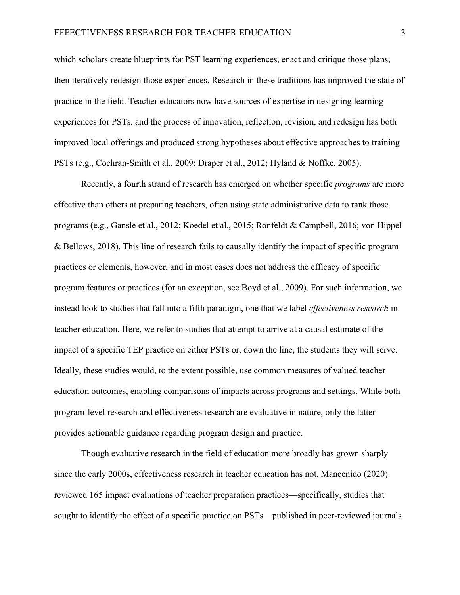which scholars create blueprints for PST learning experiences, enact and critique those plans, then iteratively redesign those experiences. Research in these traditions has improved the state of practice in the field. Teacher educators now have sources of expertise in designing learning experiences for PSTs, and the process of innovation, reflection, revision, and redesign has both improved local offerings and produced strong hypotheses about effective approaches to training PSTs (e.g., Cochran-Smith et al., 2009; Draper et al., 2012; Hyland & Noffke, 2005).

Recently, a fourth strand of research has emerged on whether specific *programs* are more effective than others at preparing teachers, often using state administrative data to rank those programs (e.g., Gansle et al., 2012; Koedel et al., 2015; Ronfeldt & Campbell, 2016; von Hippel & Bellows, 2018). This line of research fails to causally identify the impact of specific program practices or elements, however, and in most cases does not address the efficacy of specific program features or practices (for an exception, see Boyd et al., 2009). For such information, we instead look to studies that fall into a fifth paradigm, one that we label *effectiveness research* in teacher education. Here, we refer to studies that attempt to arrive at a causal estimate of the impact of a specific TEP practice on either PSTs or, down the line, the students they will serve. Ideally, these studies would, to the extent possible, use common measures of valued teacher education outcomes, enabling comparisons of impacts across programs and settings. While both program-level research and effectiveness research are evaluative in nature, only the latter provides actionable guidance regarding program design and practice.

Though evaluative research in the field of education more broadly has grown sharply since the early 2000s, effectiveness research in teacher education has not. Mancenido (2020) reviewed 165 impact evaluations of teacher preparation practices—specifically, studies that sought to identify the effect of a specific practice on PSTs—published in peer-reviewed journals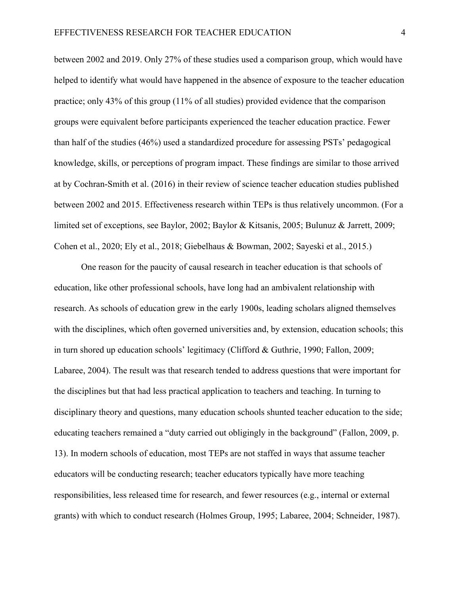between 2002 and 2019. Only 27% of these studies used a comparison group, which would have helped to identify what would have happened in the absence of exposure to the teacher education practice; only 43% of this group (11% of all studies) provided evidence that the comparison groups were equivalent before participants experienced the teacher education practice. Fewer than half of the studies (46%) used a standardized procedure for assessing PSTs' pedagogical knowledge, skills, or perceptions of program impact. These findings are similar to those arrived at by Cochran-Smith et al. (2016) in their review of science teacher education studies published between 2002 and 2015. Effectiveness research within TEPs is thus relatively uncommon. (For a limited set of exceptions, see Baylor, 2002; Baylor & Kitsanis, 2005; Bulunuz & Jarrett, 2009; Cohen et al., 2020; Ely et al., 2018; Giebelhaus & Bowman, 2002; Sayeski et al., 2015.)

One reason for the paucity of causal research in teacher education is that schools of education, like other professional schools, have long had an ambivalent relationship with research. As schools of education grew in the early 1900s, leading scholars aligned themselves with the disciplines, which often governed universities and, by extension, education schools; this in turn shored up education schools' legitimacy (Clifford & Guthrie, 1990; Fallon, 2009; Labaree, 2004). The result was that research tended to address questions that were important for the disciplines but that had less practical application to teachers and teaching. In turning to disciplinary theory and questions, many education schools shunted teacher education to the side; educating teachers remained a "duty carried out obligingly in the background" (Fallon, 2009, p. 13). In modern schools of education, most TEPs are not staffed in ways that assume teacher educators will be conducting research; teacher educators typically have more teaching responsibilities, less released time for research, and fewer resources (e.g., internal or external grants) with which to conduct research (Holmes Group, 1995; Labaree, 2004; Schneider, 1987).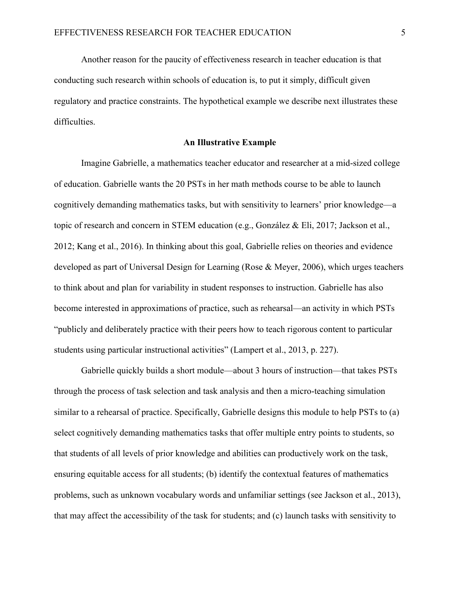Another reason for the paucity of effectiveness research in teacher education is that conducting such research within schools of education is, to put it simply, difficult given regulatory and practice constraints. The hypothetical example we describe next illustrates these difficulties.

#### **An Illustrative Example**

Imagine Gabrielle, a mathematics teacher educator and researcher at a mid-sized college of education. Gabrielle wants the 20 PSTs in her math methods course to be able to launch cognitively demanding mathematics tasks, but with sensitivity to learners' prior knowledge—a topic of research and concern in STEM education (e.g., González & Eli, 2017; Jackson et al., 2012; Kang et al., 2016). In thinking about this goal, Gabrielle relies on theories and evidence developed as part of Universal Design for Learning (Rose & Meyer, 2006), which urges teachers to think about and plan for variability in student responses to instruction. Gabrielle has also become interested in approximations of practice, such as rehearsal—an activity in which PSTs "publicly and deliberately practice with their peers how to teach rigorous content to particular students using particular instructional activities" (Lampert et al., 2013, p. 227).

Gabrielle quickly builds a short module—about 3 hours of instruction—that takes PSTs through the process of task selection and task analysis and then a micro-teaching simulation similar to a rehearsal of practice. Specifically, Gabrielle designs this module to help PSTs to (a) select cognitively demanding mathematics tasks that offer multiple entry points to students, so that students of all levels of prior knowledge and abilities can productively work on the task, ensuring equitable access for all students; (b) identify the contextual features of mathematics problems, such as unknown vocabulary words and unfamiliar settings (see Jackson et al., 2013), that may affect the accessibility of the task for students; and (c) launch tasks with sensitivity to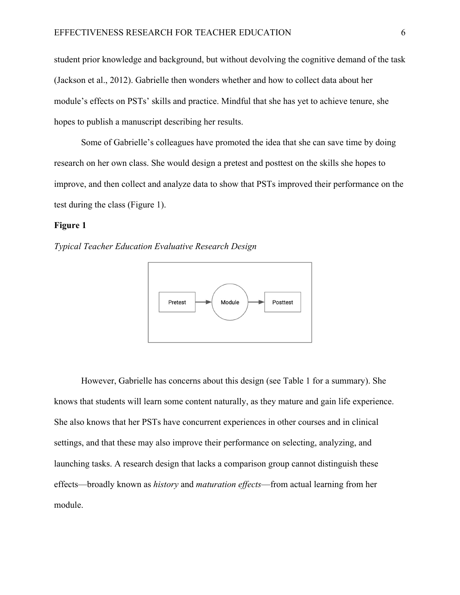student prior knowledge and background, but without devolving the cognitive demand of the task (Jackson et al., 2012). Gabrielle then wonders whether and how to collect data about her module's effects on PSTs' skills and practice. Mindful that she has yet to achieve tenure, she hopes to publish a manuscript describing her results.

Some of Gabrielle's colleagues have promoted the idea that she can save time by doing research on her own class. She would design a pretest and posttest on the skills she hopes to improve, and then collect and analyze data to show that PSTs improved their performance on the test during the class (Figure 1).

# **Figure 1**

*Typical Teacher Education Evaluative Research Design* 



However, Gabrielle has concerns about this design (see Table 1 for a summary). She knows that students will learn some content naturally, as they mature and gain life experience. She also knows that her PSTs have concurrent experiences in other courses and in clinical settings, and that these may also improve their performance on selecting, analyzing, and launching tasks. A research design that lacks a comparison group cannot distinguish these effects—broadly known as *history* and *maturation effects*—from actual learning from her module.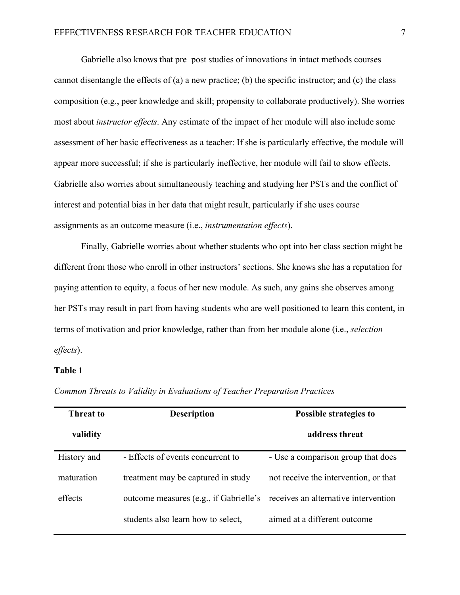Gabrielle also knows that pre–post studies of innovations in intact methods courses cannot disentangle the effects of (a) a new practice; (b) the specific instructor; and (c) the class composition (e.g., peer knowledge and skill; propensity to collaborate productively). She worries most about *instructor effects*. Any estimate of the impact of her module will also include some assessment of her basic effectiveness as a teacher: If she is particularly effective, the module will appear more successful; if she is particularly ineffective, her module will fail to show effects. Gabrielle also worries about simultaneously teaching and studying her PSTs and the conflict of interest and potential bias in her data that might result, particularly if she uses course assignments as an outcome measure (i.e., *instrumentation effects*).

Finally, Gabrielle worries about whether students who opt into her class section might be different from those who enroll in other instructors' sections. She knows she has a reputation for paying attention to equity, a focus of her new module. As such, any gains she observes among her PSTs may result in part from having students who are well positioned to learn this content, in terms of motivation and prior knowledge, rather than from her module alone (i.e., *selection effects*).

## **Table 1**

| <b>Threat to</b> | <b>Description</b>                                                          | <b>Possible strategies to</b>         |
|------------------|-----------------------------------------------------------------------------|---------------------------------------|
| validity         |                                                                             | address threat                        |
| History and      | - Effects of events concurrent to                                           | - Use a comparison group that does    |
| maturation       | treatment may be captured in study                                          | not receive the intervention, or that |
| effects          | outcome measures (e.g., if Gabrielle's receives an alternative intervention |                                       |
|                  | students also learn how to select,                                          | aimed at a different outcome          |

*Common Threats to Validity in Evaluations of Teacher Preparation Practices*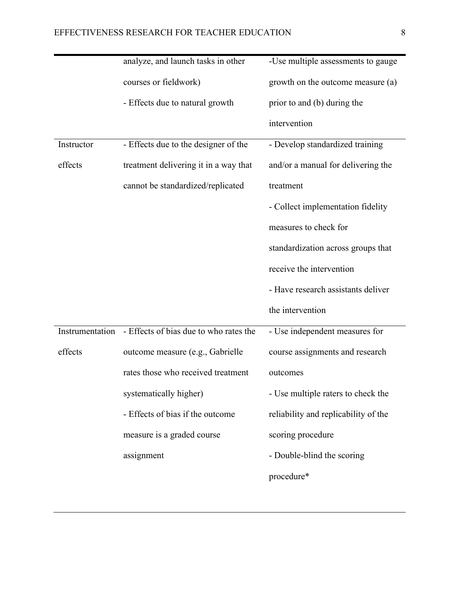|            | analyze, and launch tasks in other                     | -Use multiple assessments to gauge   |
|------------|--------------------------------------------------------|--------------------------------------|
|            | courses or fieldwork)                                  | growth on the outcome measure (a)    |
|            | - Effects due to natural growth                        | prior to and (b) during the          |
|            |                                                        | intervention                         |
| Instructor | - Effects due to the designer of the                   | - Develop standardized training      |
| effects    | treatment delivering it in a way that                  | and/or a manual for delivering the   |
|            | cannot be standardized/replicated                      | treatment                            |
|            |                                                        | - Collect implementation fidelity    |
|            |                                                        | measures to check for                |
|            |                                                        | standardization across groups that   |
|            |                                                        | receive the intervention             |
|            |                                                        | - Have research assistants deliver   |
|            |                                                        | the intervention                     |
|            | Instrumentation - Effects of bias due to who rates the | - Use independent measures for       |
| effects    | outcome measure (e.g., Gabrielle                       | course assignments and research      |
|            | rates those who received treatment                     | outcomes                             |
|            | systematically higher)                                 | - Use multiple raters to check the   |
|            | - Effects of bias if the outcome                       | reliability and replicability of the |
|            | measure is a graded course                             | scoring procedure                    |
|            | assignment                                             | - Double-blind the scoring           |
|            |                                                        | procedure*                           |
|            |                                                        |                                      |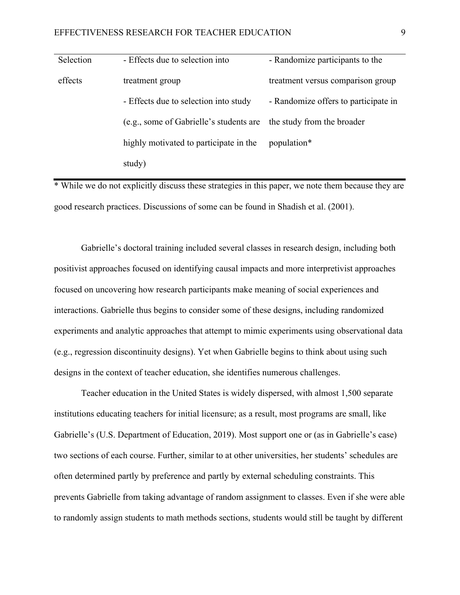| Selection | - Effects due to selection into         | - Randomize participants to the      |
|-----------|-----------------------------------------|--------------------------------------|
| effects   | treatment group                         | treatment versus comparison group    |
|           | - Effects due to selection into study   | - Randomize offers to participate in |
|           | (e.g., some of Gabrielle's students are | the study from the broader           |
|           | highly motivated to participate in the  | population*                          |
|           | study)                                  |                                      |

\* While we do not explicitly discuss these strategies in this paper, we note them because they are good research practices. Discussions of some can be found in Shadish et al. (2001).

Gabrielle's doctoral training included several classes in research design, including both positivist approaches focused on identifying causal impacts and more interpretivist approaches focused on uncovering how research participants make meaning of social experiences and interactions. Gabrielle thus begins to consider some of these designs, including randomized experiments and analytic approaches that attempt to mimic experiments using observational data (e.g., regression discontinuity designs). Yet when Gabrielle begins to think about using such designs in the context of teacher education, she identifies numerous challenges.

Teacher education in the United States is widely dispersed, with almost 1,500 separate institutions educating teachers for initial licensure; as a result, most programs are small, like Gabrielle's (U.S. Department of Education, 2019). Most support one or (as in Gabrielle's case) two sections of each course. Further, similar to at other universities, her students' schedules are often determined partly by preference and partly by external scheduling constraints. This prevents Gabrielle from taking advantage of random assignment to classes. Even if she were able to randomly assign students to math methods sections, students would still be taught by different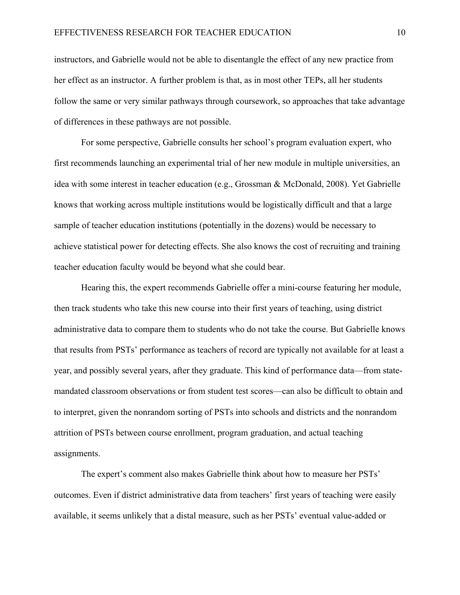instructors, and Gabrielle would not be able to disentangle the effect of any new practice from her effect as an instructor. A further problem is that, as in most other TEPs, all her students follow the same or very similar pathways through coursework, so approaches that take advantage of differences in these pathways are not possible.

For some perspective, Gabrielle consults her school's program evaluation expert, who first recommends launching an experimental trial of her new module in multiple universities, an idea with some interest in teacher education (e.g., Grossman & McDonald, 2008). Yet Gabrielle knows that working across multiple institutions would be logistically difficult and that a large sample of teacher education institutions (potentially in the dozens) would be necessary to achieve statistical power for detecting effects. She also knows the cost of recruiting and training teacher education faculty would be beyond what she could bear.

Hearing this, the expert recommends Gabrielle offer a mini-course featuring her module, then track students who take this new course into their first years of teaching, using district administrative data to compare them to students who do not take the course. But Gabrielle knows that results from PSTs' performance as teachers of record are typically not available for at least a year, and possibly several years, after they graduate. This kind of performance data—from statemandated classroom observations or from student test scores—can also be difficult to obtain and to interpret, given the nonrandom sorting of PSTs into schools and districts and the nonrandom attrition of PSTs between course enrollment, program graduation, and actual teaching assignments.

The expert's comment also makes Gabrielle think about how to measure her PSTs' outcomes. Even if district administrative data from teachers' first years of teaching were easily available, it seems unlikely that a distal measure, such as her PSTs' eventual value-added or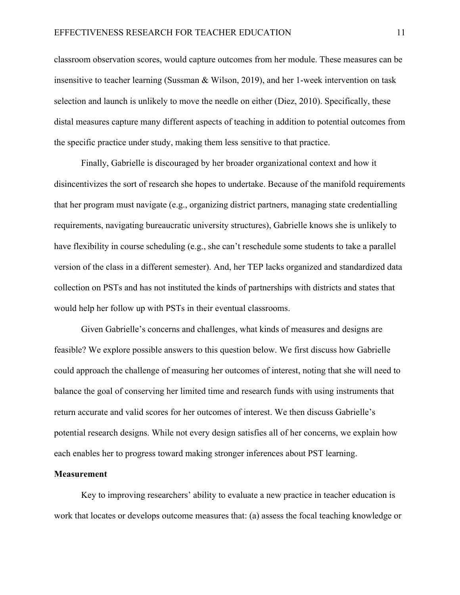classroom observation scores, would capture outcomes from her module. These measures can be insensitive to teacher learning (Sussman & Wilson, 2019), and her 1-week intervention on task selection and launch is unlikely to move the needle on either (Diez, 2010). Specifically, these distal measures capture many different aspects of teaching in addition to potential outcomes from the specific practice under study, making them less sensitive to that practice.

Finally, Gabrielle is discouraged by her broader organizational context and how it disincentivizes the sort of research she hopes to undertake. Because of the manifold requirements that her program must navigate (e.g., organizing district partners, managing state credentialling requirements, navigating bureaucratic university structures), Gabrielle knows she is unlikely to have flexibility in course scheduling (e.g., she can't reschedule some students to take a parallel version of the class in a different semester). And, her TEP lacks organized and standardized data collection on PSTs and has not instituted the kinds of partnerships with districts and states that would help her follow up with PSTs in their eventual classrooms.

Given Gabrielle's concerns and challenges, what kinds of measures and designs are feasible? We explore possible answers to this question below. We first discuss how Gabrielle could approach the challenge of measuring her outcomes of interest, noting that she will need to balance the goal of conserving her limited time and research funds with using instruments that return accurate and valid scores for her outcomes of interest. We then discuss Gabrielle's potential research designs. While not every design satisfies all of her concerns, we explain how each enables her to progress toward making stronger inferences about PST learning.

#### **Measurement**

Key to improving researchers' ability to evaluate a new practice in teacher education is work that locates or develops outcome measures that: (a) assess the focal teaching knowledge or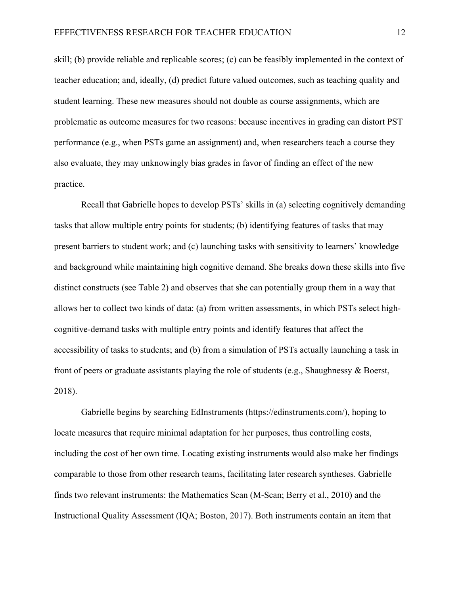skill; (b) provide reliable and replicable scores; (c) can be feasibly implemented in the context of teacher education; and, ideally, (d) predict future valued outcomes, such as teaching quality and student learning. These new measures should not double as course assignments, which are problematic as outcome measures for two reasons: because incentives in grading can distort PST performance (e.g., when PSTs game an assignment) and, when researchers teach a course they also evaluate, they may unknowingly bias grades in favor of finding an effect of the new practice.

Recall that Gabrielle hopes to develop PSTs' skills in (a) selecting cognitively demanding tasks that allow multiple entry points for students; (b) identifying features of tasks that may present barriers to student work; and (c) launching tasks with sensitivity to learners' knowledge and background while maintaining high cognitive demand. She breaks down these skills into five distinct constructs (see Table 2) and observes that she can potentially group them in a way that allows her to collect two kinds of data: (a) from written assessments, in which PSTs select highcognitive-demand tasks with multiple entry points and identify features that affect the accessibility of tasks to students; and (b) from a simulation of PSTs actually launching a task in front of peers or graduate assistants playing the role of students (e.g., Shaughnessy & Boerst, 2018).

Gabrielle begins by searching EdInstruments (https://edinstruments.com/), hoping to locate measures that require minimal adaptation for her purposes, thus controlling costs, including the cost of her own time. Locating existing instruments would also make her findings comparable to those from other research teams, facilitating later research syntheses. Gabrielle finds two relevant instruments: the Mathematics Scan (M-Scan; Berry et al., 2010) and the Instructional Quality Assessment (IQA; Boston, 2017). Both instruments contain an item that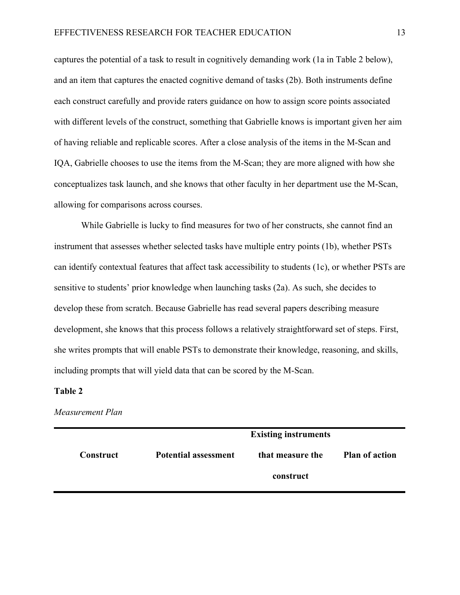captures the potential of a task to result in cognitively demanding work (1a in Table 2 below), and an item that captures the enacted cognitive demand of tasks (2b). Both instruments define each construct carefully and provide raters guidance on how to assign score points associated with different levels of the construct, something that Gabrielle knows is important given her aim of having reliable and replicable scores. After a close analysis of the items in the M-Scan and IQA, Gabrielle chooses to use the items from the M-Scan; they are more aligned with how she conceptualizes task launch, and she knows that other faculty in her department use the M-Scan, allowing for comparisons across courses.

While Gabrielle is lucky to find measures for two of her constructs, she cannot find an instrument that assesses whether selected tasks have multiple entry points (1b), whether PSTs can identify contextual features that affect task accessibility to students (1c), or whether PSTs are sensitive to students' prior knowledge when launching tasks (2a). As such, she decides to develop these from scratch. Because Gabrielle has read several papers describing measure development, she knows that this process follows a relatively straightforward set of steps. First, she writes prompts that will enable PSTs to demonstrate their knowledge, reasoning, and skills, including prompts that will yield data that can be scored by the M-Scan.

#### **Table 2**

#### *Measurement Plan*

|                  | <b>Existing instruments</b> |                  |                       |
|------------------|-----------------------------|------------------|-----------------------|
| <b>Construct</b> | <b>Potential assessment</b> | that measure the | <b>Plan of action</b> |
|                  |                             | construct        |                       |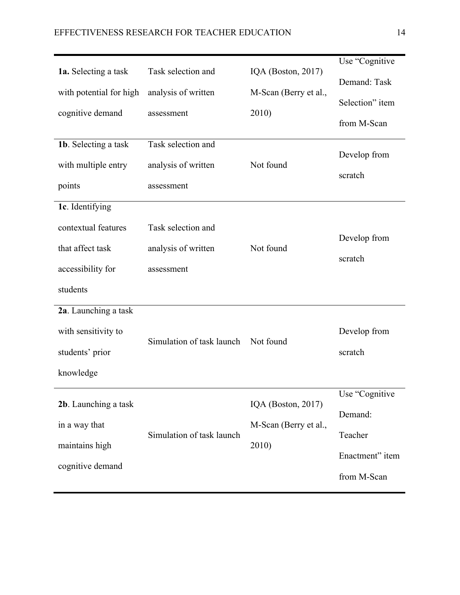| 1a. Selecting a task                                            | Task selection and        | IQA (Boston, $2017$ ) | Use "Cognitive<br>Demand: Task |
|-----------------------------------------------------------------|---------------------------|-----------------------|--------------------------------|
| with potential for high                                         | analysis of written       | M-Scan (Berry et al., | Selection" item                |
| cognitive demand                                                | assessment                | 2010)                 | from M-Scan                    |
| 1b. Selecting a task                                            | Task selection and        |                       |                                |
| with multiple entry                                             | analysis of written       | Not found             | Develop from                   |
| points                                                          | assessment                |                       | scratch                        |
| 1c. Identifying                                                 |                           |                       |                                |
| contextual features                                             | Task selection and        |                       | Develop from                   |
| that affect task                                                | analysis of written       | Not found             | scratch                        |
| accessibility for                                               | assessment                |                       |                                |
| students                                                        |                           |                       |                                |
| 2a. Launching a task                                            |                           |                       |                                |
| with sensitivity to                                             | Simulation of task launch | Not found             | Develop from                   |
| students' prior                                                 |                           |                       | scratch                        |
| knowledge                                                       |                           |                       |                                |
| 2b. Launching a task                                            |                           | IQA (Boston, 2017)    | Use "Cognitive                 |
| in a way that                                                   |                           | M-Scan (Berry et al., | Demand:                        |
| Simulation of task launch<br>maintains high<br>cognitive demand |                           | 2010)                 | Teacher                        |
|                                                                 |                           |                       | Enactment" item                |
|                                                                 |                           |                       | from M-Scan                    |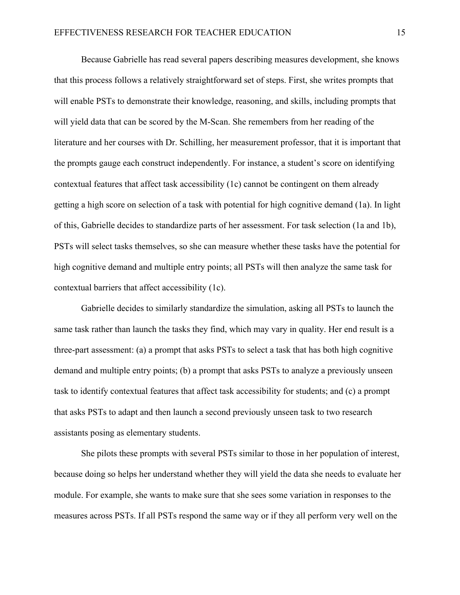Because Gabrielle has read several papers describing measures development, she knows that this process follows a relatively straightforward set of steps. First, she writes prompts that will enable PSTs to demonstrate their knowledge, reasoning, and skills, including prompts that will yield data that can be scored by the M-Scan. She remembers from her reading of the literature and her courses with Dr. Schilling, her measurement professor, that it is important that the prompts gauge each construct independently. For instance, a student's score on identifying contextual features that affect task accessibility (1c) cannot be contingent on them already getting a high score on selection of a task with potential for high cognitive demand (1a). In light of this, Gabrielle decides to standardize parts of her assessment. For task selection (1a and 1b), PSTs will select tasks themselves, so she can measure whether these tasks have the potential for high cognitive demand and multiple entry points; all PSTs will then analyze the same task for contextual barriers that affect accessibility (1c).

Gabrielle decides to similarly standardize the simulation, asking all PSTs to launch the same task rather than launch the tasks they find, which may vary in quality. Her end result is a three-part assessment: (a) a prompt that asks PSTs to select a task that has both high cognitive demand and multiple entry points; (b) a prompt that asks PSTs to analyze a previously unseen task to identify contextual features that affect task accessibility for students; and (c) a prompt that asks PSTs to adapt and then launch a second previously unseen task to two research assistants posing as elementary students.

She pilots these prompts with several PSTs similar to those in her population of interest, because doing so helps her understand whether they will yield the data she needs to evaluate her module. For example, she wants to make sure that she sees some variation in responses to the measures across PSTs. If all PSTs respond the same way or if they all perform very well on the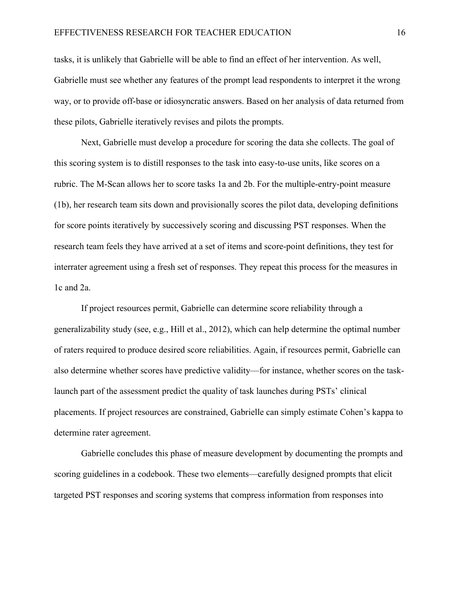tasks, it is unlikely that Gabrielle will be able to find an effect of her intervention. As well, Gabrielle must see whether any features of the prompt lead respondents to interpret it the wrong way, or to provide off-base or idiosyncratic answers. Based on her analysis of data returned from these pilots, Gabrielle iteratively revises and pilots the prompts.

Next, Gabrielle must develop a procedure for scoring the data she collects. The goal of this scoring system is to distill responses to the task into easy-to-use units, like scores on a rubric. The M-Scan allows her to score tasks 1a and 2b. For the multiple-entry-point measure (1b), her research team sits down and provisionally scores the pilot data, developing definitions for score points iteratively by successively scoring and discussing PST responses. When the research team feels they have arrived at a set of items and score-point definitions, they test for interrater agreement using a fresh set of responses. They repeat this process for the measures in 1c and 2a.

If project resources permit, Gabrielle can determine score reliability through a generalizability study (see, e.g., Hill et al., 2012), which can help determine the optimal number of raters required to produce desired score reliabilities. Again, if resources permit, Gabrielle can also determine whether scores have predictive validity—for instance, whether scores on the tasklaunch part of the assessment predict the quality of task launches during PSTs' clinical placements. If project resources are constrained, Gabrielle can simply estimate Cohen's kappa to determine rater agreement.

Gabrielle concludes this phase of measure development by documenting the prompts and scoring guidelines in a codebook. These two elements—carefully designed prompts that elicit targeted PST responses and scoring systems that compress information from responses into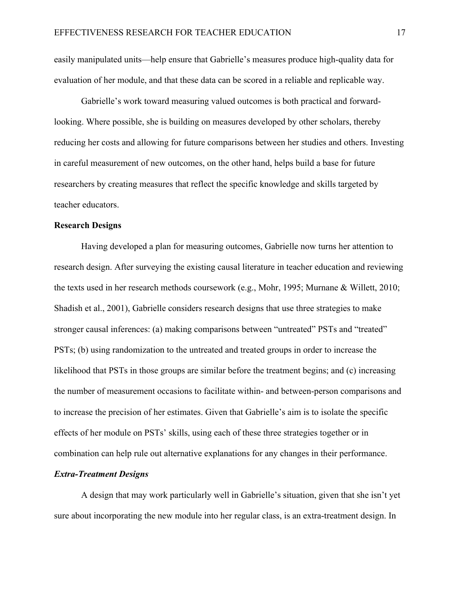easily manipulated units—help ensure that Gabrielle's measures produce high-quality data for evaluation of her module, and that these data can be scored in a reliable and replicable way.

Gabrielle's work toward measuring valued outcomes is both practical and forwardlooking. Where possible, she is building on measures developed by other scholars, thereby reducing her costs and allowing for future comparisons between her studies and others. Investing in careful measurement of new outcomes, on the other hand, helps build a base for future researchers by creating measures that reflect the specific knowledge and skills targeted by teacher educators.

## **Research Designs**

Having developed a plan for measuring outcomes, Gabrielle now turns her attention to research design. After surveying the existing causal literature in teacher education and reviewing the texts used in her research methods coursework (e.g., Mohr, 1995; Murnane & Willett, 2010; Shadish et al., 2001), Gabrielle considers research designs that use three strategies to make stronger causal inferences: (a) making comparisons between "untreated" PSTs and "treated" PSTs; (b) using randomization to the untreated and treated groups in order to increase the likelihood that PSTs in those groups are similar before the treatment begins; and (c) increasing the number of measurement occasions to facilitate within- and between-person comparisons and to increase the precision of her estimates. Given that Gabrielle's aim is to isolate the specific effects of her module on PSTs' skills, using each of these three strategies together or in combination can help rule out alternative explanations for any changes in their performance.

## *Extra-Treatment Designs*

A design that may work particularly well in Gabrielle's situation, given that she isn't yet sure about incorporating the new module into her regular class, is an extra-treatment design. In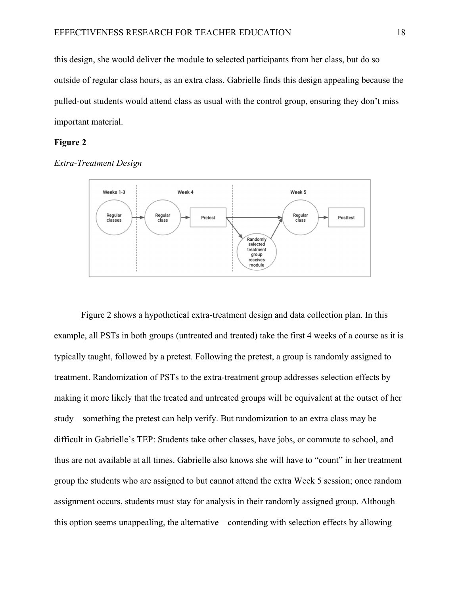this design, she would deliver the module to selected participants from her class, but do so outside of regular class hours, as an extra class. Gabrielle finds this design appealing because the pulled-out students would attend class as usual with the control group, ensuring they don't miss important material.

## **Figure 2**





Figure 2 shows a hypothetical extra-treatment design and data collection plan. In this example, all PSTs in both groups (untreated and treated) take the first 4 weeks of a course as it is typically taught, followed by a pretest. Following the pretest, a group is randomly assigned to treatment. Randomization of PSTs to the extra-treatment group addresses selection effects by making it more likely that the treated and untreated groups will be equivalent at the outset of her study—something the pretest can help verify. But randomization to an extra class may be difficult in Gabrielle's TEP: Students take other classes, have jobs, or commute to school, and thus are not available at all times. Gabrielle also knows she will have to "count" in her treatment group the students who are assigned to but cannot attend the extra Week 5 session; once random assignment occurs, students must stay for analysis in their randomly assigned group. Although this option seems unappealing, the alternative—contending with selection effects by allowing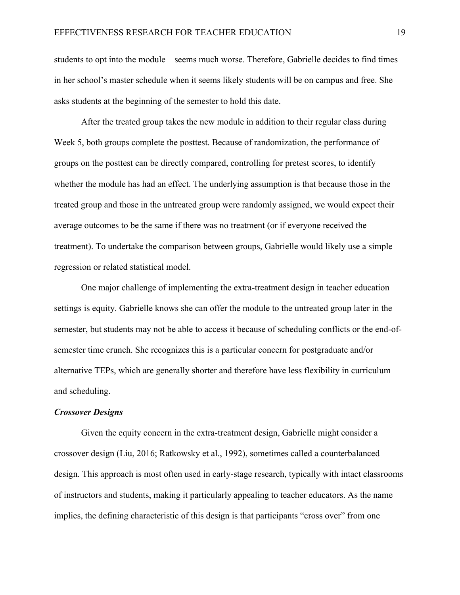students to opt into the module—seems much worse. Therefore, Gabrielle decides to find times in her school's master schedule when it seems likely students will be on campus and free. She asks students at the beginning of the semester to hold this date.

After the treated group takes the new module in addition to their regular class during Week 5, both groups complete the posttest. Because of randomization, the performance of groups on the posttest can be directly compared, controlling for pretest scores, to identify whether the module has had an effect. The underlying assumption is that because those in the treated group and those in the untreated group were randomly assigned, we would expect their average outcomes to be the same if there was no treatment (or if everyone received the treatment). To undertake the comparison between groups, Gabrielle would likely use a simple regression or related statistical model.

One major challenge of implementing the extra-treatment design in teacher education settings is equity. Gabrielle knows she can offer the module to the untreated group later in the semester, but students may not be able to access it because of scheduling conflicts or the end-ofsemester time crunch. She recognizes this is a particular concern for postgraduate and/or alternative TEPs, which are generally shorter and therefore have less flexibility in curriculum and scheduling.

#### *Crossover Designs*

Given the equity concern in the extra-treatment design, Gabrielle might consider a crossover design (Liu, 2016; Ratkowsky et al., 1992), sometimes called a counterbalanced design. This approach is most often used in early-stage research, typically with intact classrooms of instructors and students, making it particularly appealing to teacher educators. As the name implies, the defining characteristic of this design is that participants "cross over" from one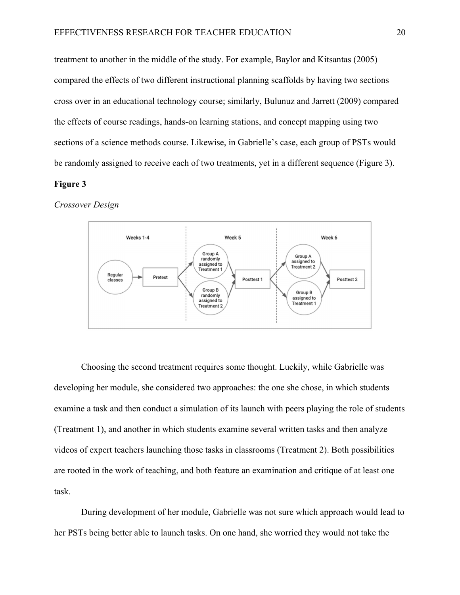treatment to another in the middle of the study. For example, Baylor and Kitsantas (2005) compared the effects of two different instructional planning scaffolds by having two sections cross over in an educational technology course; similarly, Bulunuz and Jarrett (2009) compared the effects of course readings, hands-on learning stations, and concept mapping using two sections of a science methods course. Likewise, in Gabrielle's case, each group of PSTs would be randomly assigned to receive each of two treatments, yet in a different sequence (Figure 3).

## **Figure 3**

*Crossover Design* 



Choosing the second treatment requires some thought. Luckily, while Gabrielle was developing her module, she considered two approaches: the one she chose, in which students examine a task and then conduct a simulation of its launch with peers playing the role of students (Treatment 1), and another in which students examine several written tasks and then analyze videos of expert teachers launching those tasks in classrooms (Treatment 2). Both possibilities are rooted in the work of teaching, and both feature an examination and critique of at least one task.

During development of her module, Gabrielle was not sure which approach would lead to her PSTs being better able to launch tasks. On one hand, she worried they would not take the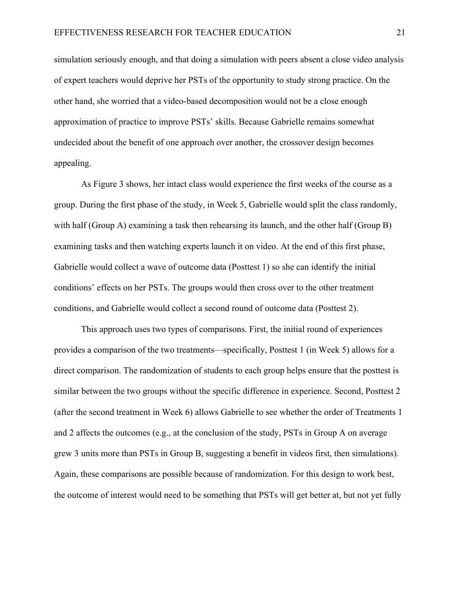simulation seriously enough, and that doing a simulation with peers absent a close video analysis of expert teachers would deprive her PSTs of the opportunity to study strong practice. On the other hand, she worried that a video-based decomposition would not be a close enough approximation of practice to improve PSTs' skills. Because Gabrielle remains somewhat undecided about the benefit of one approach over another, the crossover design becomes appealing.

As Figure 3 shows, her intact class would experience the first weeks of the course as a group. During the first phase of the study, in Week 5, Gabrielle would split the class randomly, with half (Group A) examining a task then rehearsing its launch, and the other half (Group B) examining tasks and then watching experts launch it on video. At the end of this first phase, Gabrielle would collect a wave of outcome data (Posttest 1) so she can identify the initial conditions' effects on her PSTs. The groups would then cross over to the other treatment conditions, and Gabrielle would collect a second round of outcome data (Posttest 2).

This approach uses two types of comparisons. First, the initial round of experiences provides a comparison of the two treatments—specifically, Posttest 1 (in Week 5) allows for a direct comparison. The randomization of students to each group helps ensure that the posttest is similar between the two groups without the specific difference in experience. Second, Posttest 2 (after the second treatment in Week 6) allows Gabrielle to see whether the order of Treatments 1 and 2 affects the outcomes (e.g., at the conclusion of the study, PSTs in Group A on average grew 3 units more than PSTs in Group B, suggesting a benefit in videos first, then simulations). Again, these comparisons are possible because of randomization. For this design to work best, the outcome of interest would need to be something that PSTs will get better at, but not yet fully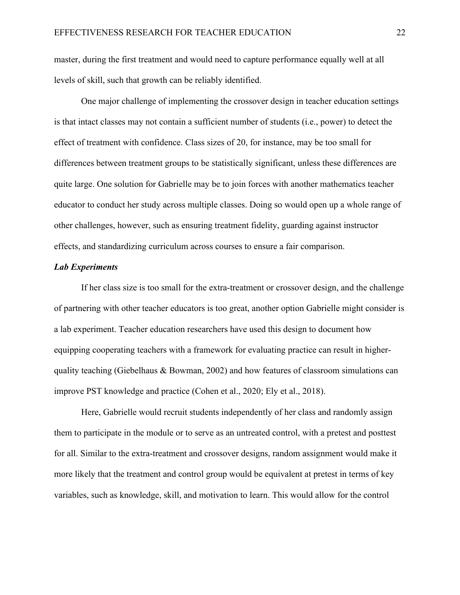master, during the first treatment and would need to capture performance equally well at all levels of skill, such that growth can be reliably identified.

One major challenge of implementing the crossover design in teacher education settings is that intact classes may not contain a sufficient number of students (i.e., power) to detect the effect of treatment with confidence. Class sizes of 20, for instance, may be too small for differences between treatment groups to be statistically significant, unless these differences are quite large. One solution for Gabrielle may be to join forces with another mathematics teacher educator to conduct her study across multiple classes. Doing so would open up a whole range of other challenges, however, such as ensuring treatment fidelity, guarding against instructor effects, and standardizing curriculum across courses to ensure a fair comparison.

## *Lab Experiments*

If her class size is too small for the extra-treatment or crossover design, and the challenge of partnering with other teacher educators is too great, another option Gabrielle might consider is a lab experiment. Teacher education researchers have used this design to document how equipping cooperating teachers with a framework for evaluating practice can result in higherquality teaching (Giebelhaus & Bowman, 2002) and how features of classroom simulations can improve PST knowledge and practice (Cohen et al., 2020; Ely et al., 2018).

Here, Gabrielle would recruit students independently of her class and randomly assign them to participate in the module or to serve as an untreated control, with a pretest and posttest for all. Similar to the extra-treatment and crossover designs, random assignment would make it more likely that the treatment and control group would be equivalent at pretest in terms of key variables, such as knowledge, skill, and motivation to learn. This would allow for the control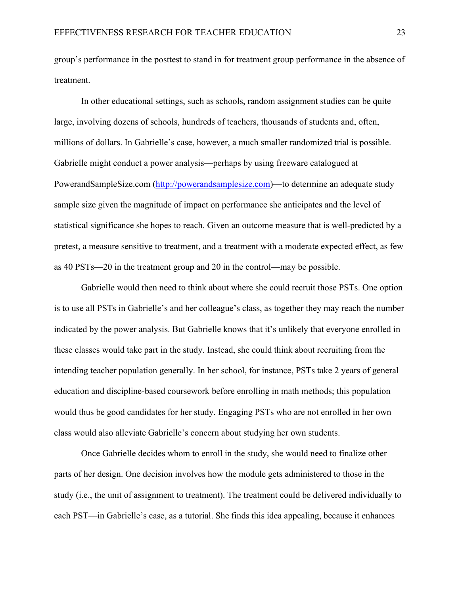group's performance in the posttest to stand in for treatment group performance in the absence of treatment.

In other educational settings, such as schools, random assignment studies can be quite large, involving dozens of schools, hundreds of teachers, thousands of students and, often, millions of dollars. In Gabrielle's case, however, a much smaller randomized trial is possible. Gabrielle might conduct a power analysis—perhaps by using freeware catalogued at PowerandSampleSize.com (http://powerandsamplesize.com)—to determine an adequate study sample size given the magnitude of impact on performance she anticipates and the level of statistical significance she hopes to reach. Given an outcome measure that is well-predicted by a pretest, a measure sensitive to treatment, and a treatment with a moderate expected effect, as few as 40 PSTs—20 in the treatment group and 20 in the control—may be possible.

Gabrielle would then need to think about where she could recruit those PSTs. One option is to use all PSTs in Gabrielle's and her colleague's class, as together they may reach the number indicated by the power analysis. But Gabrielle knows that it's unlikely that everyone enrolled in these classes would take part in the study. Instead, she could think about recruiting from the intending teacher population generally. In her school, for instance, PSTs take 2 years of general education and discipline-based coursework before enrolling in math methods; this population would thus be good candidates for her study. Engaging PSTs who are not enrolled in her own class would also alleviate Gabrielle's concern about studying her own students.

Once Gabrielle decides whom to enroll in the study, she would need to finalize other parts of her design. One decision involves how the module gets administered to those in the study (i.e., the unit of assignment to treatment). The treatment could be delivered individually to each PST—in Gabrielle's case, as a tutorial. She finds this idea appealing, because it enhances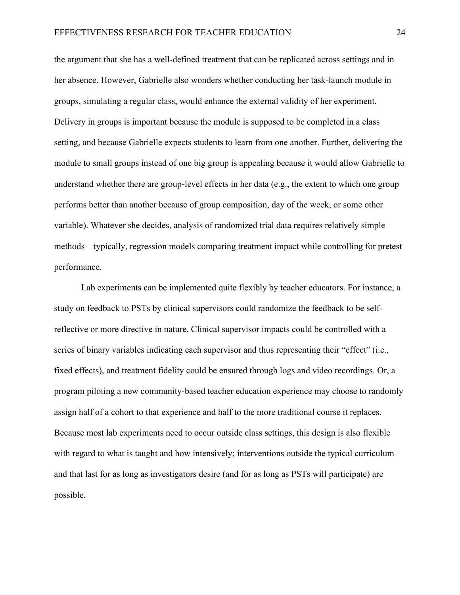the argument that she has a well-defined treatment that can be replicated across settings and in her absence. However, Gabrielle also wonders whether conducting her task-launch module in groups, simulating a regular class, would enhance the external validity of her experiment. Delivery in groups is important because the module is supposed to be completed in a class setting, and because Gabrielle expects students to learn from one another. Further, delivering the module to small groups instead of one big group is appealing because it would allow Gabrielle to understand whether there are group-level effects in her data (e.g., the extent to which one group performs better than another because of group composition, day of the week, or some other variable). Whatever she decides, analysis of randomized trial data requires relatively simple methods—typically, regression models comparing treatment impact while controlling for pretest performance.

Lab experiments can be implemented quite flexibly by teacher educators. For instance, a study on feedback to PSTs by clinical supervisors could randomize the feedback to be selfreflective or more directive in nature. Clinical supervisor impacts could be controlled with a series of binary variables indicating each supervisor and thus representing their "effect" (i.e., fixed effects), and treatment fidelity could be ensured through logs and video recordings. Or, a program piloting a new community-based teacher education experience may choose to randomly assign half of a cohort to that experience and half to the more traditional course it replaces. Because most lab experiments need to occur outside class settings, this design is also flexible with regard to what is taught and how intensively; interventions outside the typical curriculum and that last for as long as investigators desire (and for as long as PSTs will participate) are possible.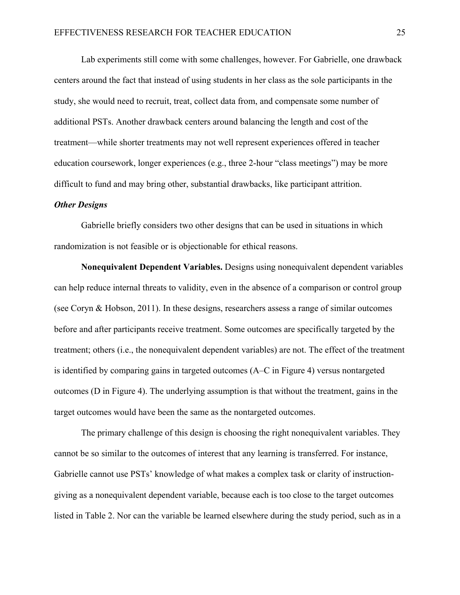Lab experiments still come with some challenges, however. For Gabrielle, one drawback centers around the fact that instead of using students in her class as the sole participants in the study, she would need to recruit, treat, collect data from, and compensate some number of additional PSTs. Another drawback centers around balancing the length and cost of the treatment—while shorter treatments may not well represent experiences offered in teacher education coursework, longer experiences (e.g., three 2-hour "class meetings") may be more difficult to fund and may bring other, substantial drawbacks, like participant attrition.

#### *Other Designs*

Gabrielle briefly considers two other designs that can be used in situations in which randomization is not feasible or is objectionable for ethical reasons.

**Nonequivalent Dependent Variables.** Designs using nonequivalent dependent variables can help reduce internal threats to validity, even in the absence of a comparison or control group (see Coryn & Hobson, 2011). In these designs, researchers assess a range of similar outcomes before and after participants receive treatment. Some outcomes are specifically targeted by the treatment; others (i.e., the nonequivalent dependent variables) are not. The effect of the treatment is identified by comparing gains in targeted outcomes (A–C in Figure 4) versus nontargeted outcomes (D in Figure 4). The underlying assumption is that without the treatment, gains in the target outcomes would have been the same as the nontargeted outcomes.

The primary challenge of this design is choosing the right nonequivalent variables. They cannot be so similar to the outcomes of interest that any learning is transferred. For instance, Gabrielle cannot use PSTs' knowledge of what makes a complex task or clarity of instructiongiving as a nonequivalent dependent variable, because each is too close to the target outcomes listed in Table 2. Nor can the variable be learned elsewhere during the study period, such as in a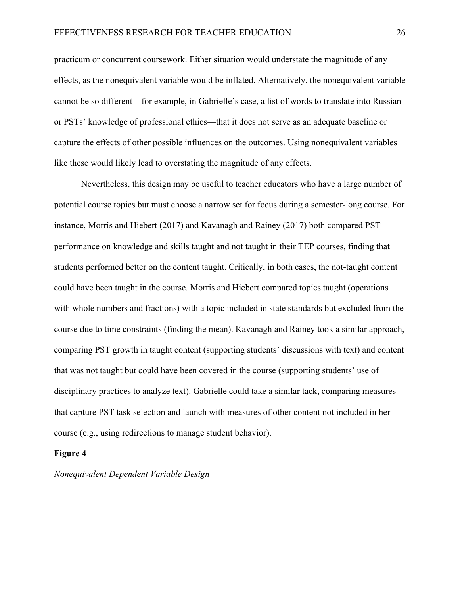practicum or concurrent coursework. Either situation would understate the magnitude of any effects, as the nonequivalent variable would be inflated. Alternatively, the nonequivalent variable cannot be so different—for example, in Gabrielle's case, a list of words to translate into Russian or PSTs' knowledge of professional ethics—that it does not serve as an adequate baseline or capture the effects of other possible influences on the outcomes. Using nonequivalent variables like these would likely lead to overstating the magnitude of any effects.

Nevertheless, this design may be useful to teacher educators who have a large number of potential course topics but must choose a narrow set for focus during a semester-long course. For instance, Morris and Hiebert (2017) and Kavanagh and Rainey (2017) both compared PST performance on knowledge and skills taught and not taught in their TEP courses, finding that students performed better on the content taught. Critically, in both cases, the not-taught content could have been taught in the course. Morris and Hiebert compared topics taught (operations with whole numbers and fractions) with a topic included in state standards but excluded from the course due to time constraints (finding the mean). Kavanagh and Rainey took a similar approach, comparing PST growth in taught content (supporting students' discussions with text) and content that was not taught but could have been covered in the course (supporting students' use of disciplinary practices to analyze text). Gabrielle could take a similar tack, comparing measures that capture PST task selection and launch with measures of other content not included in her course (e.g., using redirections to manage student behavior).

## **Figure 4**

#### *Nonequivalent Dependent Variable Design*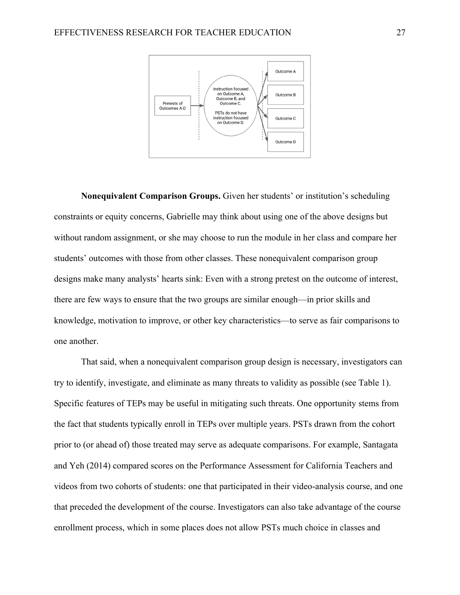

**Nonequivalent Comparison Groups.** Given her students' or institution's scheduling constraints or equity concerns, Gabrielle may think about using one of the above designs but without random assignment, or she may choose to run the module in her class and compare her students' outcomes with those from other classes. These nonequivalent comparison group designs make many analysts' hearts sink: Even with a strong pretest on the outcome of interest, there are few ways to ensure that the two groups are similar enough—in prior skills and knowledge, motivation to improve, or other key characteristics—to serve as fair comparisons to one another.

That said, when a nonequivalent comparison group design is necessary, investigators can try to identify, investigate, and eliminate as many threats to validity as possible (see Table 1). Specific features of TEPs may be useful in mitigating such threats. One opportunity stems from the fact that students typically enroll in TEPs over multiple years. PSTs drawn from the cohort prior to (or ahead of) those treated may serve as adequate comparisons. For example, Santagata and Yeh (2014) compared scores on the Performance Assessment for California Teachers and videos from two cohorts of students: one that participated in their video-analysis course, and one that preceded the development of the course. Investigators can also take advantage of the course enrollment process, which in some places does not allow PSTs much choice in classes and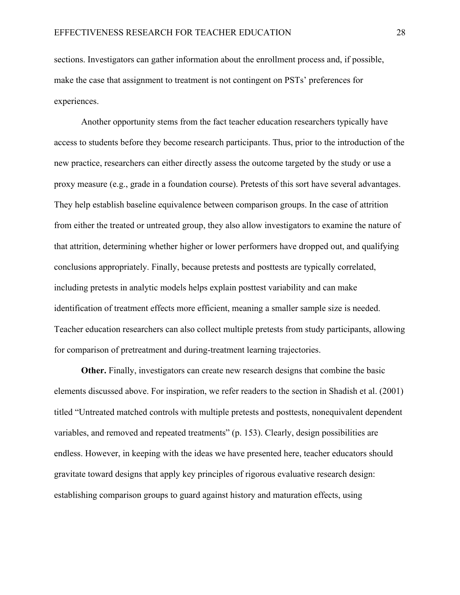sections. Investigators can gather information about the enrollment process and, if possible, make the case that assignment to treatment is not contingent on PSTs' preferences for experiences.

Another opportunity stems from the fact teacher education researchers typically have access to students before they become research participants. Thus, prior to the introduction of the new practice, researchers can either directly assess the outcome targeted by the study or use a proxy measure (e.g., grade in a foundation course). Pretests of this sort have several advantages. They help establish baseline equivalence between comparison groups. In the case of attrition from either the treated or untreated group, they also allow investigators to examine the nature of that attrition, determining whether higher or lower performers have dropped out, and qualifying conclusions appropriately. Finally, because pretests and posttests are typically correlated, including pretests in analytic models helps explain posttest variability and can make identification of treatment effects more efficient, meaning a smaller sample size is needed. Teacher education researchers can also collect multiple pretests from study participants, allowing for comparison of pretreatment and during-treatment learning trajectories.

**Other.** Finally, investigators can create new research designs that combine the basic elements discussed above. For inspiration, we refer readers to the section in Shadish et al. (2001) titled "Untreated matched controls with multiple pretests and posttests, nonequivalent dependent variables, and removed and repeated treatments" (p. 153). Clearly, design possibilities are endless. However, in keeping with the ideas we have presented here, teacher educators should gravitate toward designs that apply key principles of rigorous evaluative research design: establishing comparison groups to guard against history and maturation effects, using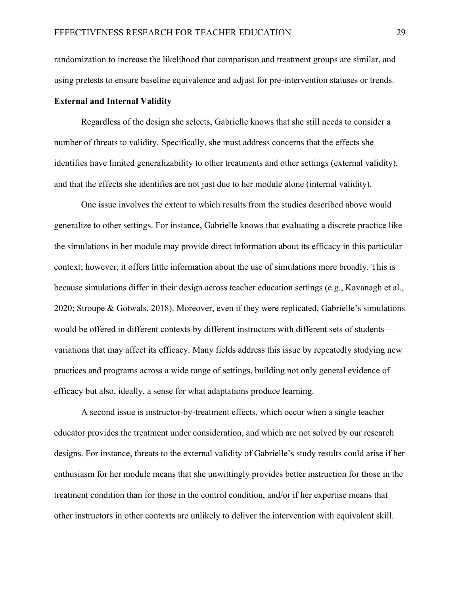randomization to increase the likelihood that comparison and treatment groups are similar, and using pretests to ensure baseline equivalence and adjust for pre-intervention statuses or trends.

# **External and Internal Validity**

Regardless of the design she selects, Gabrielle knows that she still needs to consider a number of threats to validity. Specifically, she must address concerns that the effects she identifies have limited generalizability to other treatments and other settings (external validity), and that the effects she identifies are not just due to her module alone (internal validity).

One issue involves the extent to which results from the studies described above would generalize to other settings. For instance, Gabrielle knows that evaluating a discrete practice like the simulations in her module may provide direct information about its efficacy in this particular context; however, it offers little information about the use of simulations more broadly. This is because simulations differ in their design across teacher education settings (e.g., Kavanagh et al., 2020; Stroupe & Gotwals, 2018). Moreover, even if they were replicated, Gabrielle's simulations would be offered in different contexts by different instructors with different sets of students variations that may affect its efficacy. Many fields address this issue by repeatedly studying new practices and programs across a wide range of settings, building not only general evidence of efficacy but also, ideally, a sense for what adaptations produce learning.

A second issue is instructor-by-treatment effects, which occur when a single teacher educator provides the treatment under consideration, and which are not solved by our research designs. For instance, threats to the external validity of Gabrielle's study results could arise if her enthusiasm for her module means that she unwittingly provides better instruction for those in the treatment condition than for those in the control condition, and/or if her expertise means that other instructors in other contexts are unlikely to deliver the intervention with equivalent skill.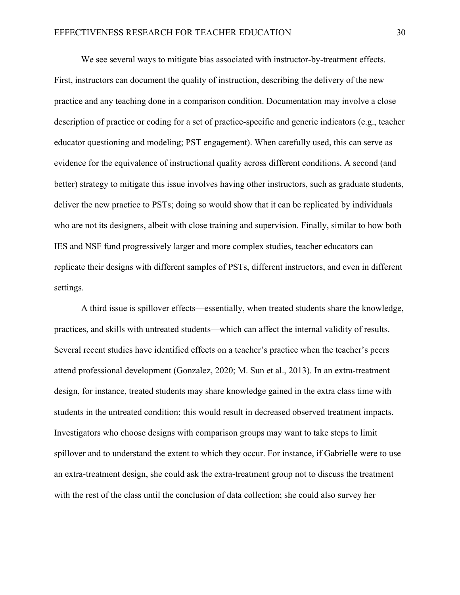We see several ways to mitigate bias associated with instructor-by-treatment effects. First, instructors can document the quality of instruction, describing the delivery of the new practice and any teaching done in a comparison condition. Documentation may involve a close description of practice or coding for a set of practice-specific and generic indicators (e.g., teacher educator questioning and modeling; PST engagement). When carefully used, this can serve as evidence for the equivalence of instructional quality across different conditions. A second (and better) strategy to mitigate this issue involves having other instructors, such as graduate students, deliver the new practice to PSTs; doing so would show that it can be replicated by individuals who are not its designers, albeit with close training and supervision. Finally, similar to how both IES and NSF fund progressively larger and more complex studies, teacher educators can replicate their designs with different samples of PSTs, different instructors, and even in different settings.

A third issue is spillover effects—essentially, when treated students share the knowledge, practices, and skills with untreated students—which can affect the internal validity of results. Several recent studies have identified effects on a teacher's practice when the teacher's peers attend professional development (Gonzalez, 2020; M. Sun et al., 2013). In an extra-treatment design, for instance, treated students may share knowledge gained in the extra class time with students in the untreated condition; this would result in decreased observed treatment impacts. Investigators who choose designs with comparison groups may want to take steps to limit spillover and to understand the extent to which they occur. For instance, if Gabrielle were to use an extra-treatment design, she could ask the extra-treatment group not to discuss the treatment with the rest of the class until the conclusion of data collection; she could also survey her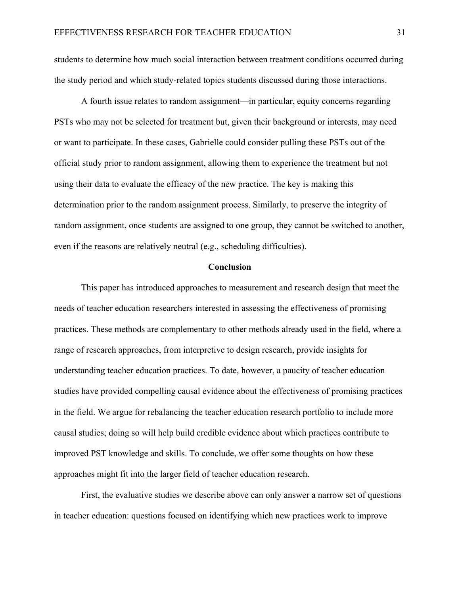students to determine how much social interaction between treatment conditions occurred during the study period and which study-related topics students discussed during those interactions.

A fourth issue relates to random assignment—in particular, equity concerns regarding PSTs who may not be selected for treatment but, given their background or interests, may need or want to participate. In these cases, Gabrielle could consider pulling these PSTs out of the official study prior to random assignment, allowing them to experience the treatment but not using their data to evaluate the efficacy of the new practice. The key is making this determination prior to the random assignment process. Similarly, to preserve the integrity of random assignment, once students are assigned to one group, they cannot be switched to another, even if the reasons are relatively neutral (e.g., scheduling difficulties).

#### **Conclusion**

This paper has introduced approaches to measurement and research design that meet the needs of teacher education researchers interested in assessing the effectiveness of promising practices. These methods are complementary to other methods already used in the field, where a range of research approaches, from interpretive to design research, provide insights for understanding teacher education practices. To date, however, a paucity of teacher education studies have provided compelling causal evidence about the effectiveness of promising practices in the field. We argue for rebalancing the teacher education research portfolio to include more causal studies; doing so will help build credible evidence about which practices contribute to improved PST knowledge and skills. To conclude, we offer some thoughts on how these approaches might fit into the larger field of teacher education research.

First, the evaluative studies we describe above can only answer a narrow set of questions in teacher education: questions focused on identifying which new practices work to improve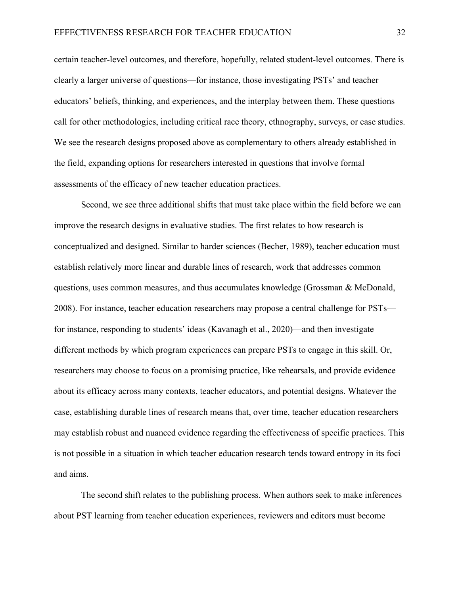certain teacher-level outcomes, and therefore, hopefully, related student-level outcomes. There is clearly a larger universe of questions—for instance, those investigating PSTs' and teacher educators' beliefs, thinking, and experiences, and the interplay between them. These questions call for other methodologies, including critical race theory, ethnography, surveys, or case studies. We see the research designs proposed above as complementary to others already established in the field, expanding options for researchers interested in questions that involve formal assessments of the efficacy of new teacher education practices.

Second, we see three additional shifts that must take place within the field before we can improve the research designs in evaluative studies. The first relates to how research is conceptualized and designed. Similar to harder sciences (Becher, 1989), teacher education must establish relatively more linear and durable lines of research, work that addresses common questions, uses common measures, and thus accumulates knowledge (Grossman & McDonald, 2008). For instance, teacher education researchers may propose a central challenge for PSTs for instance, responding to students' ideas (Kavanagh et al., 2020)—and then investigate different methods by which program experiences can prepare PSTs to engage in this skill. Or, researchers may choose to focus on a promising practice, like rehearsals, and provide evidence about its efficacy across many contexts, teacher educators, and potential designs. Whatever the case, establishing durable lines of research means that, over time, teacher education researchers may establish robust and nuanced evidence regarding the effectiveness of specific practices. This is not possible in a situation in which teacher education research tends toward entropy in its foci and aims.

The second shift relates to the publishing process. When authors seek to make inferences about PST learning from teacher education experiences, reviewers and editors must become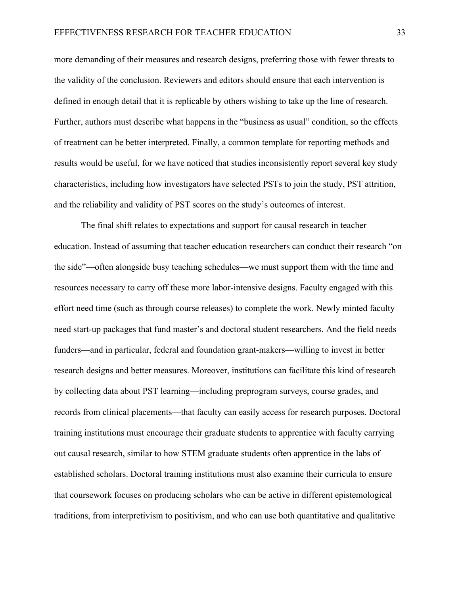more demanding of their measures and research designs, preferring those with fewer threats to the validity of the conclusion. Reviewers and editors should ensure that each intervention is defined in enough detail that it is replicable by others wishing to take up the line of research. Further, authors must describe what happens in the "business as usual" condition, so the effects of treatment can be better interpreted. Finally, a common template for reporting methods and results would be useful, for we have noticed that studies inconsistently report several key study characteristics, including how investigators have selected PSTs to join the study, PST attrition, and the reliability and validity of PST scores on the study's outcomes of interest.

The final shift relates to expectations and support for causal research in teacher education. Instead of assuming that teacher education researchers can conduct their research "on the side"—often alongside busy teaching schedules—we must support them with the time and resources necessary to carry off these more labor-intensive designs. Faculty engaged with this effort need time (such as through course releases) to complete the work. Newly minted faculty need start-up packages that fund master's and doctoral student researchers. And the field needs funders—and in particular, federal and foundation grant-makers—willing to invest in better research designs and better measures. Moreover, institutions can facilitate this kind of research by collecting data about PST learning—including preprogram surveys, course grades, and records from clinical placements—that faculty can easily access for research purposes. Doctoral training institutions must encourage their graduate students to apprentice with faculty carrying out causal research, similar to how STEM graduate students often apprentice in the labs of established scholars. Doctoral training institutions must also examine their curricula to ensure that coursework focuses on producing scholars who can be active in different epistemological traditions, from interpretivism to positivism, and who can use both quantitative and qualitative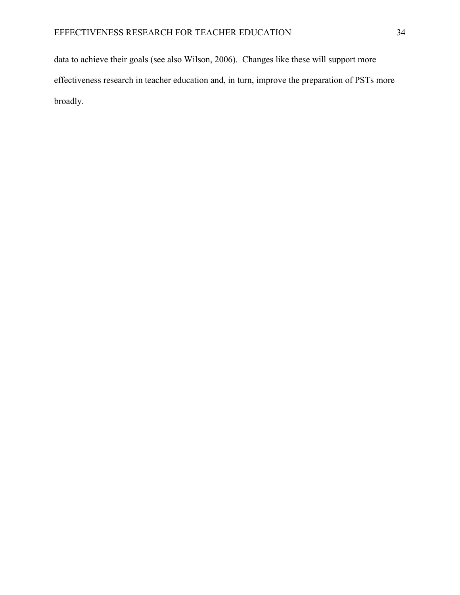data to achieve their goals (see also Wilson, 2006). Changes like these will support more effectiveness research in teacher education and, in turn, improve the preparation of PSTs more broadly.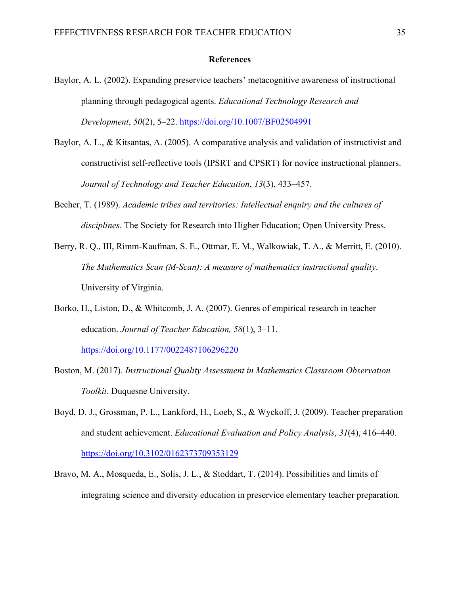## **References**

- Baylor, A. L. (2002). Expanding preservice teachers' metacognitive awareness of instructional planning through pedagogical agents. *Educational Technology Research and Development*, *50*(2), 5–22. https://doi.org/10.1007/BF02504991
- Baylor, A. L., & Kitsantas, A. (2005). A comparative analysis and validation of instructivist and constructivist self-reflective tools (IPSRT and CPSRT) for novice instructional planners. *Journal of Technology and Teacher Education*, *13*(3), 433–457.
- Becher, T. (1989). *Academic tribes and territories: Intellectual enquiry and the cultures of disciplines*. The Society for Research into Higher Education; Open University Press.
- Berry, R. Q., III, Rimm-Kaufman, S. E., Ottmar, E. M., Walkowiak, T. A., & Merritt, E. (2010). *The Mathematics Scan (M-Scan): A measure of mathematics instructional quality*. University of Virginia.
- Borko, H., Liston, D., & Whitcomb, J. A. (2007). Genres of empirical research in teacher education. *Journal of Teacher Education, 58*(1), 3–11.

https://doi.org/10.1177/0022487106296220

- Boston, M. (2017). *Instructional Quality Assessment in Mathematics Classroom Observation Toolkit*. Duquesne University.
- Boyd, D. J., Grossman, P. L., Lankford, H., Loeb, S., & Wyckoff, J. (2009). Teacher preparation and student achievement. *Educational Evaluation and Policy Analysis*, *31*(4), 416–440. https://doi.org/10.3102/0162373709353129
- Bravo, M. A., Mosqueda, E., Solís, J. L., & Stoddart, T. (2014). Possibilities and limits of integrating science and diversity education in preservice elementary teacher preparation.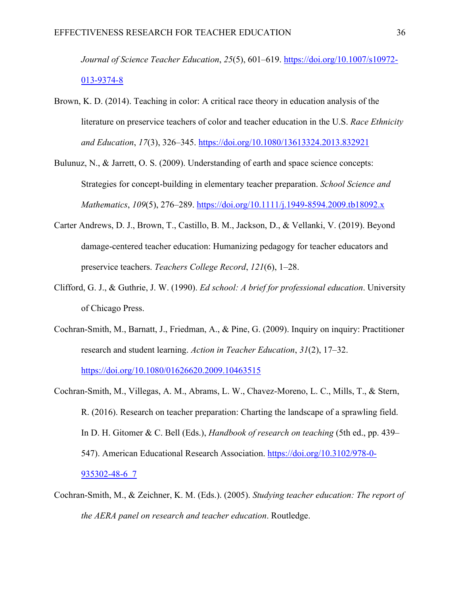*Journal of Science Teacher Education*, *25*(5), 601–619. https://doi.org/10.1007/s10972- 013-9374-8

- Brown, K. D. (2014). Teaching in color: A critical race theory in education analysis of the literature on preservice teachers of color and teacher education in the U.S. *Race Ethnicity and Education*, *17*(3), 326–345. https://doi.org/10.1080/13613324.2013.832921
- Bulunuz, N., & Jarrett, O. S. (2009). Understanding of earth and space science concepts: Strategies for concept-building in elementary teacher preparation. *School Science and Mathematics*, *109*(5), 276–289. https://doi.org/10.1111/j.1949-8594.2009.tb18092.x
- Carter Andrews, D. J., Brown, T., Castillo, B. M., Jackson, D., & Vellanki, V. (2019). Beyond damage-centered teacher education: Humanizing pedagogy for teacher educators and preservice teachers. *Teachers College Record*, *121*(6), 1–28.
- Clifford, G. J., & Guthrie, J. W. (1990). *Ed school: A brief for professional education*. University of Chicago Press.
- Cochran-Smith, M., Barnatt, J., Friedman, A., & Pine, G. (2009). Inquiry on inquiry: Practitioner research and student learning. *Action in Teacher Education*, *31*(2), 17–32.

https://doi.org/10.1080/01626620.2009.10463515

- Cochran-Smith, M., Villegas, A. M., Abrams, L. W., Chavez-Moreno, L. C., Mills, T., & Stern, R. (2016). Research on teacher preparation: Charting the landscape of a sprawling field. In D. H. Gitomer & C. Bell (Eds.), *Handbook of research on teaching* (5th ed., pp. 439– 547). American Educational Research Association. https://doi.org/10.3102/978-0- 935302-48-6\_7
- Cochran-Smith, M., & Zeichner, K. M. (Eds.). (2005). *Studying teacher education: The report of the AERA panel on research and teacher education*. Routledge.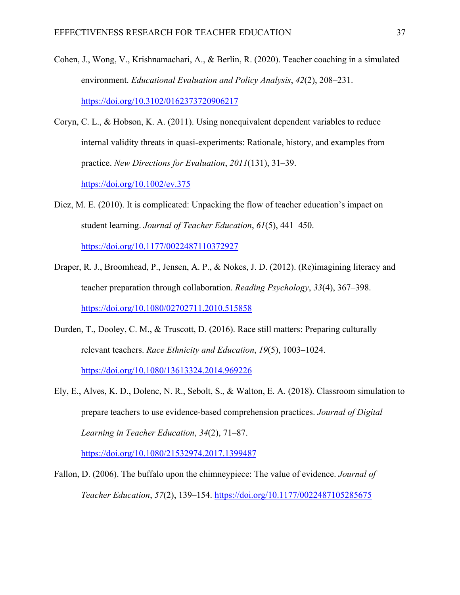- Cohen, J., Wong, V., Krishnamachari, A., & Berlin, R. (2020). Teacher coaching in a simulated environment. *Educational Evaluation and Policy Analysis*, *42*(2), 208–231. https://doi.org/10.3102/0162373720906217
- Coryn, C. L., & Hobson, K. A. (2011). Using nonequivalent dependent variables to reduce internal validity threats in quasi‐experiments: Rationale, history, and examples from practice. *New Directions for Evaluation*, *2011*(131), 31–39.

https://doi.org/10.1002/ev.375

Diez, M. E. (2010). It is complicated: Unpacking the flow of teacher education's impact on student learning. *Journal of Teacher Education*, *61*(5), 441–450.

https://doi.org/10.1177/0022487110372927

- Draper, R. J., Broomhead, P., Jensen, A. P., & Nokes, J. D. (2012). (Re)imagining literacy and teacher preparation through collaboration. *Reading Psychology*, *33*(4), 367–398. https://doi.org/10.1080/02702711.2010.515858
- Durden, T., Dooley, C. M., & Truscott, D. (2016). Race still matters: Preparing culturally relevant teachers. *Race Ethnicity and Education*, *19*(5), 1003–1024. https://doi.org/10.1080/13613324.2014.969226
- Ely, E., Alves, K. D., Dolenc, N. R., Sebolt, S., & Walton, E. A. (2018). Classroom simulation to prepare teachers to use evidence-based comprehension practices. *Journal of Digital Learning in Teacher Education*, *34*(2), 71–87.

https://doi.org/10.1080/21532974.2017.1399487

Fallon, D. (2006). The buffalo upon the chimneypiece: The value of evidence. *Journal of Teacher Education*, *57*(2), 139–154. https://doi.org/10.1177/0022487105285675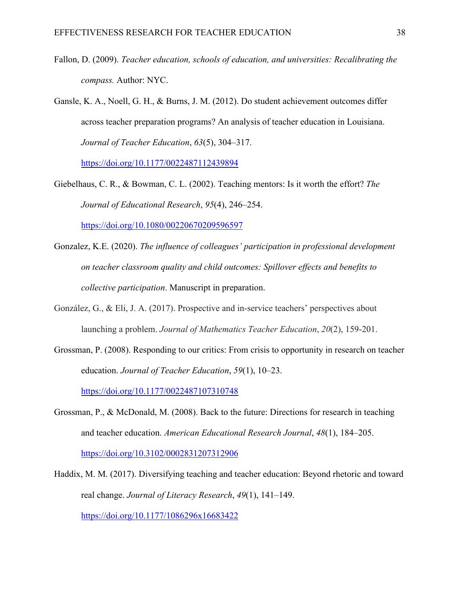- Fallon, D. (2009). *Teacher education, schools of education, and universities: Recalibrating the compass.* Author: NYC.
- Gansle, K. A., Noell, G. H., & Burns, J. M. (2012). Do student achievement outcomes differ across teacher preparation programs? An analysis of teacher education in Louisiana. *Journal of Teacher Education*, *63*(5), 304–317.

https://doi.org/10.1177/0022487112439894

- Giebelhaus, C. R., & Bowman, C. L. (2002). Teaching mentors: Is it worth the effort? *The Journal of Educational Research*, *95*(4), 246–254. https://doi.org/10.1080/00220670209596597
- Gonzalez, K.E. (2020). *The influence of colleagues' participation in professional development on teacher classroom quality and child outcomes: Spillover effects and benefits to collective participation*. Manuscript in preparation.
- González, G., & Eli, J. A. (2017). Prospective and in-service teachers' perspectives about launching a problem. *Journal of Mathematics Teacher Education*, *20*(2), 159-201.
- Grossman, P. (2008). Responding to our critics: From crisis to opportunity in research on teacher education. *Journal of Teacher Education*, *59*(1), 10–23.

https://doi.org/10.1177/0022487107310748

- Grossman, P., & McDonald, M. (2008). Back to the future: Directions for research in teaching and teacher education. *American Educational Research Journal*, *48*(1), 184–205. https://doi.org/10.3102/0002831207312906
- Haddix, M. M. (2017). Diversifying teaching and teacher education: Beyond rhetoric and toward real change. *Journal of Literacy Research*, *49*(1), 141–149. https://doi.org/10.1177/1086296x16683422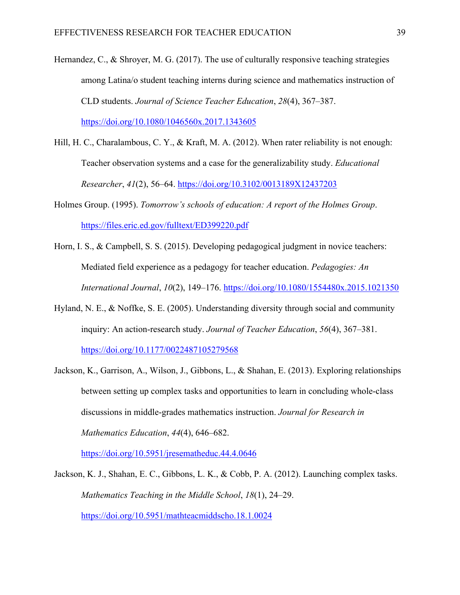- Hernandez, C., & Shroyer, M. G. (2017). The use of culturally responsive teaching strategies among Latina/o student teaching interns during science and mathematics instruction of CLD students. *Journal of Science Teacher Education*, *28*(4), 367–387. https://doi.org/10.1080/1046560x.2017.1343605
- Hill, H. C., Charalambous, C. Y., & Kraft, M. A. (2012). When rater reliability is not enough: Teacher observation systems and a case for the generalizability study. *Educational Researcher*, *41*(2), 56–64. https://doi.org/10.3102/0013189X12437203
- Holmes Group. (1995). *Tomorrow's schools of education: A report of the Holmes Group*. https://files.eric.ed.gov/fulltext/ED399220.pdf
- Horn, I. S., & Campbell, S. S. (2015). Developing pedagogical judgment in novice teachers: Mediated field experience as a pedagogy for teacher education. *Pedagogies: An International Journal*, *10*(2), 149–176. https://doi.org/10.1080/1554480x.2015.1021350
- Hyland, N. E., & Noffke, S. E. (2005). Understanding diversity through social and community inquiry: An action-research study. *Journal of Teacher Education*, *56*(4), 367–381. https://doi.org/10.1177/0022487105279568
- Jackson, K., Garrison, A., Wilson, J., Gibbons, L., & Shahan, E. (2013). Exploring relationships between setting up complex tasks and opportunities to learn in concluding whole-class discussions in middle-grades mathematics instruction. *Journal for Research in Mathematics Education*, *44*(4), 646–682.

https://doi.org/10.5951/jresematheduc.44.4.0646

Jackson, K. J., Shahan, E. C., Gibbons, L. K., & Cobb, P. A. (2012). Launching complex tasks. *Mathematics Teaching in the Middle School*, *18*(1), 24–29. https://doi.org/10.5951/mathteacmiddscho.18.1.0024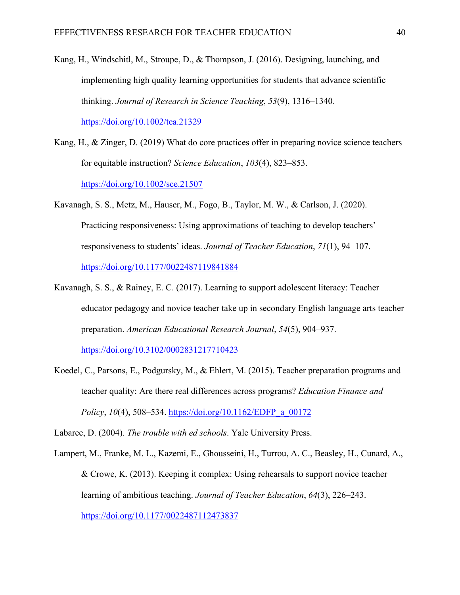- Kang, H., Windschitl, M., Stroupe, D., & Thompson, J. (2016). Designing, launching, and implementing high quality learning opportunities for students that advance scientific thinking. *Journal of Research in Science Teaching*, *53*(9), 1316–1340. https://doi.org/10.1002/tea.21329
- Kang, H., & Zinger, D. (2019) What do core practices offer in preparing novice science teachers for equitable instruction? *Science Education*, *103*(4), 823–853. https://doi.org/10.1002/sce.21507
- Kavanagh, S. S., Metz, M., Hauser, M., Fogo, B., Taylor, M. W., & Carlson, J. (2020). Practicing responsiveness: Using approximations of teaching to develop teachers' responsiveness to students' ideas. *Journal of Teacher Education*, *71*(1), 94–107. https://doi.org/10.1177/0022487119841884
- Kavanagh, S. S., & Rainey, E. C. (2017). Learning to support adolescent literacy: Teacher educator pedagogy and novice teacher take up in secondary English language arts teacher preparation. *American Educational Research Journal*, *54*(5), 904–937.

https://doi.org/10.3102/0002831217710423

Koedel, C., Parsons, E., Podgursky, M., & Ehlert, M. (2015). Teacher preparation programs and teacher quality: Are there real differences across programs? *Education Finance and Policy*, *10*(4), 508–534. https://doi.org/10.1162/EDFP\_a\_00172

Labaree, D. (2004). *The trouble with ed schools*. Yale University Press.

Lampert, M., Franke, M. L., Kazemi, E., Ghousseini, H., Turrou, A. C., Beasley, H., Cunard, A., & Crowe, K. (2013). Keeping it complex: Using rehearsals to support novice teacher learning of ambitious teaching. *Journal of Teacher Education*, *64*(3), 226–243. https://doi.org/10.1177/0022487112473837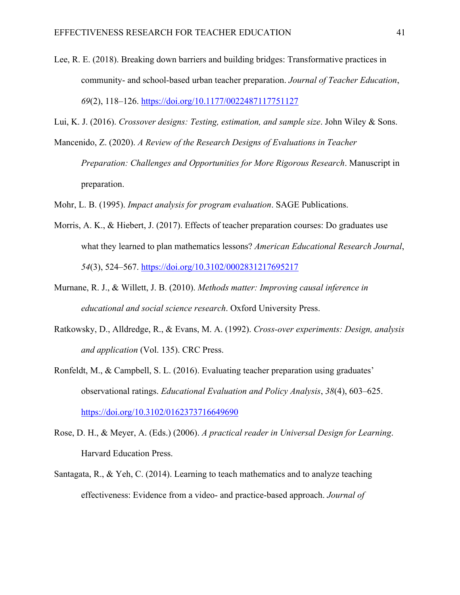- Lee, R. E. (2018). Breaking down barriers and building bridges: Transformative practices in community- and school-based urban teacher preparation. *Journal of Teacher Education*, *69*(2), 118–126. https://doi.org/10.1177/0022487117751127
- Lui, K. J. (2016). *Crossover designs: Testing, estimation, and sample size*. John Wiley & Sons.
- Mancenido, Z. (2020). *A Review of the Research Designs of Evaluations in Teacher Preparation: Challenges and Opportunities for More Rigorous Research*. Manuscript in preparation.
- Mohr, L. B. (1995). *Impact analysis for program evaluation*. SAGE Publications.
- Morris, A. K., & Hiebert, J. (2017). Effects of teacher preparation courses: Do graduates use what they learned to plan mathematics lessons? *American Educational Research Journal*, *54*(3), 524–567. https://doi.org/10.3102/0002831217695217
- Murnane, R. J., & Willett, J. B. (2010). *Methods matter: Improving causal inference in educational and social science research*. Oxford University Press.
- Ratkowsky, D., Alldredge, R., & Evans, M. A. (1992). *Cross-over experiments: Design, analysis and application* (Vol. 135). CRC Press.
- Ronfeldt, M., & Campbell, S. L. (2016). Evaluating teacher preparation using graduates' observational ratings. *Educational Evaluation and Policy Analysis*, *38*(4), 603–625. https://doi.org/10.3102/0162373716649690
- Rose, D. H., & Meyer, A. (Eds.) (2006). *A practical reader in Universal Design for Learning*. Harvard Education Press.
- Santagata, R., & Yeh, C. (2014). Learning to teach mathematics and to analyze teaching effectiveness: Evidence from a video- and practice-based approach. *Journal of*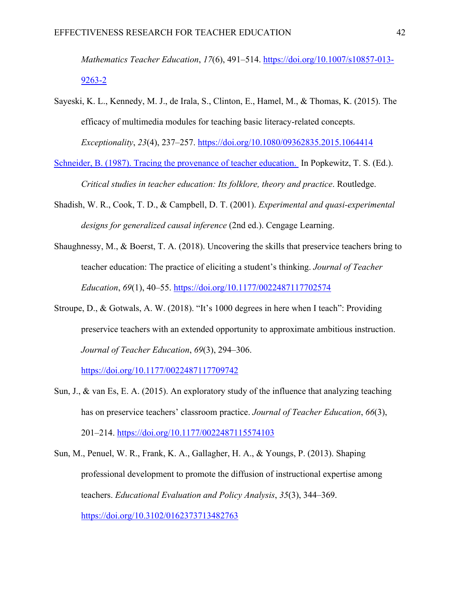*Mathematics Teacher Education*, *17*(6), 491–514. https://doi.org/10.1007/s10857-013- 9263-2

Sayeski, K. L., Kennedy, M. J., de Irala, S., Clinton, E., Hamel, M., & Thomas, K. (2015). The efficacy of multimedia modules for teaching basic literacy-related concepts.

*Exceptionality*, *23*(4), 237–257. https://doi.org/10.1080/09362835.2015.1064414

Schneider, B. (1987). Tracing the provenance of teacher education. In Popkewitz, T. S. (Ed.).

*Critical studies in teacher education: Its folklore, theory and practice*. Routledge.

- Shadish, W. R., Cook, T. D., & Campbell, D. T. (2001). *Experimental and quasi-experimental designs for generalized causal inference* (2nd ed.). Cengage Learning.
- Shaughnessy, M., & Boerst, T. A. (2018). Uncovering the skills that preservice teachers bring to teacher education: The practice of eliciting a student's thinking. *Journal of Teacher Education*, *69*(1), 40–55. https://doi.org/10.1177/0022487117702574
- Stroupe, D., & Gotwals, A. W. (2018). "It's 1000 degrees in here when I teach": Providing preservice teachers with an extended opportunity to approximate ambitious instruction. *Journal of Teacher Education*, *69*(3), 294–306.

https://doi.org/10.1177/0022487117709742

- Sun, J., & van Es, E. A. (2015). An exploratory study of the influence that analyzing teaching has on preservice teachers' classroom practice. *Journal of Teacher Education*, *66*(3), 201–214. https://doi.org/10.1177/0022487115574103
- Sun, M., Penuel, W. R., Frank, K. A., Gallagher, H. A., & Youngs, P. (2013). Shaping professional development to promote the diffusion of instructional expertise among teachers. *Educational Evaluation and Policy Analysis*, *35*(3), 344–369. https://doi.org/10.3102/0162373713482763